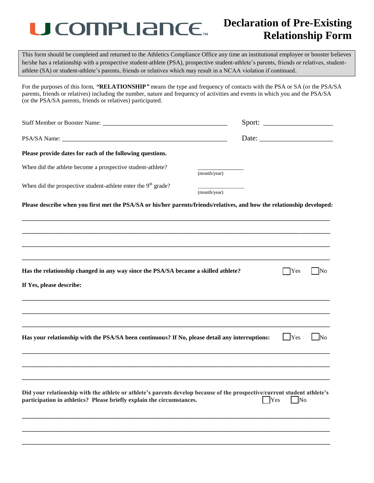## U COMPLIANCE.

## **Declaration of Pre-Existing Relationship Form**

This form should be completed and returned to the Athletics Compliance Office any time an institutional employee or booster believes he/she has a relationship with a prospective student-athlete (PSA), prospective student-athlete's parents, friends or relatives, studentathlete (SA) or student-athlete's parents, friends or relatives which may result in a NCAA violation if continued.

For the purposes of this form, *"***RELATIONSHIP***"* means the type and frequency of contacts with the PSA or SA (or the PSA/SA parents, friends or relatives) including the number, nature and frequency of activities and events in which you and the PSA/SA (or the PSA/SA parents, friends or relatives) participated.

| Please provide dates for each of the following questions.                                                                                                                                         |              |                    |                |            |
|---------------------------------------------------------------------------------------------------------------------------------------------------------------------------------------------------|--------------|--------------------|----------------|------------|
| When did the athlete become a prospective student-athlete?                                                                                                                                        | (month/year) |                    |                |            |
| When did the prospective student-athlete enter the $9th$ grade?                                                                                                                                   | (month/year) |                    |                |            |
| Please describe when you first met the PSA/SA or his/her parents/friends/relatives, and how the relationship developed:                                                                           |              |                    |                |            |
|                                                                                                                                                                                                   |              |                    |                |            |
|                                                                                                                                                                                                   |              |                    |                |            |
|                                                                                                                                                                                                   |              |                    |                |            |
| Has the relationship changed in any way since the PSA/SA became a skilled athlete?                                                                                                                |              |                    | <b>Yes</b>     | $\Box$ No  |
| If Yes, please describe:                                                                                                                                                                          |              |                    |                |            |
|                                                                                                                                                                                                   |              |                    |                |            |
|                                                                                                                                                                                                   |              |                    |                |            |
| Has your relationship with the PSA/SA been continuous? If No, please detail any interruptions:                                                                                                    |              |                    | $\mathbf{Yes}$ | $\vert$ No |
|                                                                                                                                                                                                   |              |                    |                |            |
|                                                                                                                                                                                                   |              |                    |                |            |
| Did your relationship with the athlete or athlete's parents develop because of the prospective/current student athlete's<br>participation in athletics? Please briefly explain the circumstances. |              | $\blacksquare$ Yes | $\vert$ No     |            |
|                                                                                                                                                                                                   |              |                    |                |            |
|                                                                                                                                                                                                   |              |                    |                |            |
|                                                                                                                                                                                                   |              |                    |                |            |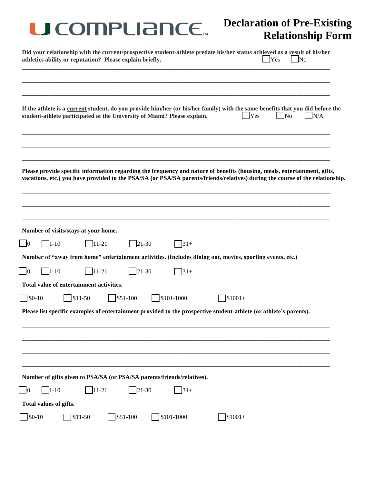| <b>U COMPLIANCE</b>                                                                                                                                                                                                                                        | <b>Declaration of Pre-Existing</b><br><b>Relationship Form</b> |
|------------------------------------------------------------------------------------------------------------------------------------------------------------------------------------------------------------------------------------------------------------|----------------------------------------------------------------|
| Did your relationship with the current/prospective student-athlete predate his/her status achieved as a result of his/her<br>athletics ability or reputation? Please explain briefly.                                                                      | Yes<br>$\blacksquare$ No                                       |
| If the athlete is a current student, do you provide him/her (or his/her family) with the same benefits that you did before the<br>student-athlete participated at the University of Miami? Please explain.                                                 | $\overline{\text{No}}$<br>$ $ Yes<br>N/A                       |
| Please provide specific information regarding the frequency and nature of benefits (housing, meals, entertainment, gifts,<br>vacations, etc.) you have provided to the PSA/SA (or PSA/SA parents/friends/relatives) during the course of the relationship. |                                                                |
| Number of visits/stays at your home.<br>$\Box$ 1-10<br>$\vert 0 \vert$<br>$ 11-21 $<br>$21-30$<br>$ 31+$                                                                                                                                                   |                                                                |
| Number of "away from home" entertainment activities. (Includes dining out, movies, sporting events, etc.)<br>$\Box$ 1-10<br>$\Box$ 11-21<br>$\sqrt{21-30}$<br>$31+$<br>Ю                                                                                   |                                                                |
| Total value of entertainment activities.<br>$\Box$ \$0-10<br>$551-100$<br>$\sqrt{$11-50}$<br>$$101-1000$                                                                                                                                                   | $$1001+$                                                       |
| Please list specific examples of entertainment provided to the prospective student-athlete (or athlete's parents).                                                                                                                                         |                                                                |
|                                                                                                                                                                                                                                                            |                                                                |
| Number of gifts given to PSA/SA (or PSA/SA parents/friends/relatives).                                                                                                                                                                                     |                                                                |
| $1 - 10$<br>$11-21$<br>$\sqrt{21-30}$<br>$31+$<br>10<br>Total values of gifts.                                                                                                                                                                             |                                                                |
| $\frac{1}{2}$ \$0-10<br>\$101-1000<br>$\sqrt{$11-50}$<br>$351-100$                                                                                                                                                                                         | $$1001+$                                                       |